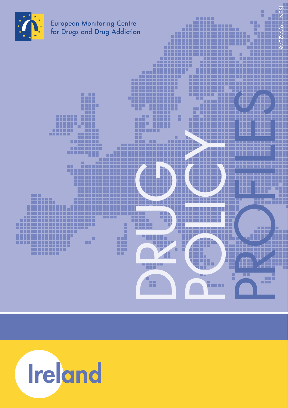

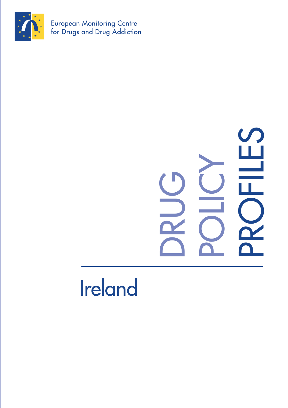

European Monitoring Centre<br>for Drugs and Drug Addiction

# DRUG POLICY  $\overline{\mathsf{L}}$

# Ireland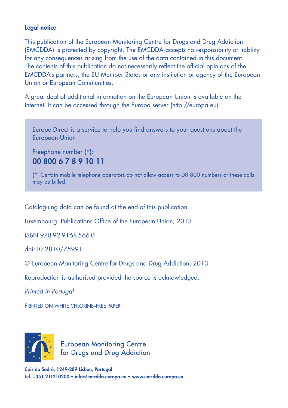#### Legal notice

This publication of the European Monitoring Centre for Drugs and Drug Addiction (EMCDDA) is protected by copyright. The EMCDDA accepts no responsibility or liability for any consequences arising from the use of the data contained in this document. The contents of this publication do not necessarily reflect the official opinions of the EMCDDA's partners, the EU Member States or any institution or agency of the European Union or European Communities.

A great deal of additional information on the European Union is available on the Internet. It can be accessed through the Europa server (http://europa.eu).

Europe Direct is a service to help you find answers to your questions about the European Union

Freephone number (\*): 00 800 6 7 8 9 10 11

(\*) Certain mobile telephone operators do not allow access to 00 800 numbers or these calls may be billed.

Cataloguing data can be found at the end of this publication.

Luxembourg: Publications Office of the European Union, 2013

ISBN 978-92-9168-566-0

doi:10.2810/75991

© European Monitoring Centre for Drugs and Drug Addiction, 2013

Reproduction is authorised provided the source is acknowledged.

*Printed in Portugal*

PRINTED ON WHITE CHLORINE–FREE PAPER



European Monitoring Centre<br>for Drugs and Drug Addiction

Cais do Sodré, 1249-289 Lisbon, Portugal Tel. +351 211210200 • info@emcdda.europa.eu • www.emcdda.europa.eu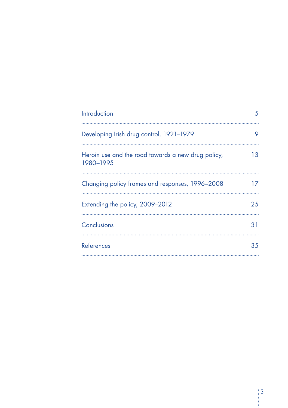| Introduction                                                    | 5  |
|-----------------------------------------------------------------|----|
| Developing Irish drug control, 1921-1979                        | 9  |
| Heroin use and the road towards a new drug policy,<br>1980-1995 | 13 |
| Changing policy frames and responses, 1996-2008                 | 17 |
| Extending the policy, 2009-2012                                 | 25 |
| Conclusions                                                     | 31 |
| References                                                      | 35 |
|                                                                 |    |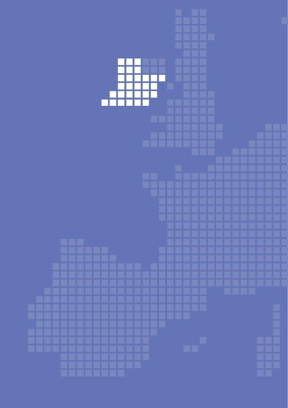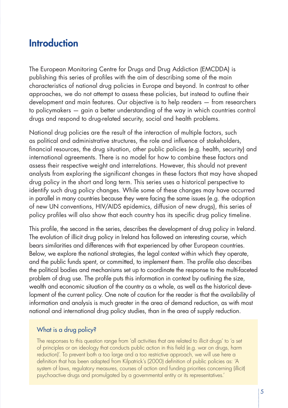## Introduction

The European Monitoring Centre for Drugs and Drug Addiction (EMCDDA) is publishing this series of profiles with the aim of describing some of the main characteristics of national drug policies in Europe and beyond. In contrast to other approaches, we do not attempt to assess these policies, but instead to outline their development and main features. Our objective is to help readers — from researchers to policymakers — gain a better understanding of the way in which countries control drugs and respond to drug-related security, social and health problems.

National drug policies are the result of the interaction of multiple factors, such as political and administrative structures, the role and influence of stakeholders, financial resources, the drug situation, other public policies (e.g. health, security) and international agreements. There is no model for how to combine these factors and assess their respective weight and interrelations. However, this should not prevent analysts from exploring the significant changes in these factors that may have shaped drug policy in the short and long term. This series uses a historical perspective to identify such drug policy changes. While some of these changes may have occurred in parallel in many countries because they were facing the same issues (e.g. the adoption of new UN conventions, HIV/AIDS epidemics, diffusion of new drugs), this series of policy profiles will also show that each country has its specific drug policy timeline.

This profile, the second in the series, describes the development of drug policy in Ireland. The evolution of illicit drug policy in Ireland has followed an interesting course, which bears similarities and differences with that experienced by other European countries. Below, we explore the national strategies, the legal context within which they operate, and the public funds spent, or committed, to implement them. The profile also describes the political bodies and mechanisms set up to coordinate the response to the multi-faceted problem of drug use. The profile puts this information in context by outlining the size, wealth and economic situation of the country as a whole, as well as the historical development of the current policy. One note of caution for the reader is that the availability of information and analysis is much greater in the area of demand reduction, as with most national and international drug policy studies, than in the area of supply reduction.

#### What is a drug policy?

The responses to this question range from 'all activities that are related to illicit drugs' to 'a set of principles or an ideology that conducts public action in this field (e.g. war on drugs, harm reduction)'. To prevent both a too large and a too restrictive approach, we will use here a definition that has been adapted from Kilpatrick's (2000) definition of public policies as: 'A system of laws, regulatory measures, courses of action and funding priorities concerning (illicit) psychoactive drugs and promulgated by a governmental entity or its representatives.'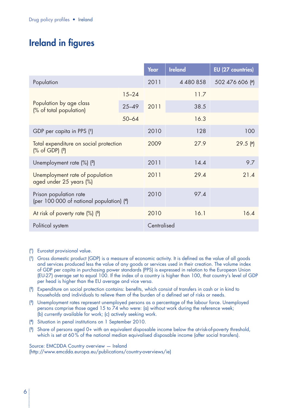# Ireland in figures

|                                                                              |           | Year        | <b>Ireland</b> | EU (27 countries) |
|------------------------------------------------------------------------------|-----------|-------------|----------------|-------------------|
| Population                                                                   |           | 2011        | 4480858        | 502 476 606 (P)   |
| Population by age class<br>(% of total population)                           | $15 - 24$ | 2011        | 11.7           |                   |
|                                                                              | $25 - 49$ |             | 38.5           |                   |
|                                                                              | $50 - 64$ |             | 16.3           |                   |
| GDP per capita in PPS (1)                                                    |           | 2010        | 128            | 100               |
| Total expenditure on social protection<br>$\frac{8}{6}$ of GDP $\frac{2}{3}$ |           | 2009        | 27.9           | 29.5(P)           |
| Unemployment rate (%) (3)                                                    |           | 2011        | 14.4           | 9.7               |
| Unemployment rate of population<br>aged under 25 years (%)                   |           | 2011        | 29.4           | 21.4              |
| Prison population rate<br>(per 100 000 of national population) (4)           |           | 2010        | 97.4           |                   |
| At risk of poverty rate $(\%)$ $(5)$                                         |           | 2010        | 16.1           | 16.4              |
| Political system                                                             |           | Centralised |                |                   |

- ( p ) Eurostat provisional value.
- ( <sup>1</sup>) Gross domestic product (GDP) is a measure of economic activity. It is defined as the value of all goods and services produced less the value of any goods or services used in their creation. The volume index of GDP per capita in purchasing power standards (PPS) is expressed in relation to the European Union (EU-27) average set to equal 100. If the index of a country is higher than 100, that country's level of GDP per head is higher than the EU average and vice versa.
- ( <sup>2</sup>) Expenditure on social protection contains: benefits, which consist of transfers in cash or in kind to households and individuals to relieve them of the burden of a defined set of risks or needs.
- ( <sup>3</sup>) Unemployment rates represent unemployed persons as a percentage of the labour force. Unemployed persons comprise those aged 15 to 74 who were: (a) without work during the reference week; (b) currently available for work; (c) actively seeking work.
- ( <sup>4</sup>) Situation in penal institutions on 1 September 2010.
- ( <sup>5</sup>) Share of persons aged 0+ with an equivalent disposable income below the at-risk-of-poverty threshold, which is set at 60% of the national median equivalised disposable income (after social transfers).

Source: EMCDDA Country overview — Ireland (http://www.emcdda.europa.eu/publications/country-overviews/ie)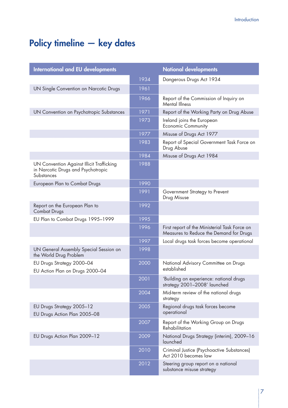# Policy timeline — key dates

| <b>International and EU developments</b>                                                      |      | <b>National developments</b>                                                             |  |  |
|-----------------------------------------------------------------------------------------------|------|------------------------------------------------------------------------------------------|--|--|
|                                                                                               | 1934 | Dangerous Drugs Act 1934                                                                 |  |  |
| UN Single Convention on Narcotic Drugs                                                        | 1961 |                                                                                          |  |  |
|                                                                                               | 1966 | Report of the Commission of Inquiry on<br>Mental Illness                                 |  |  |
| UN Convention on Psychotropic Substances                                                      | 1971 | Report of the Working Party on Drug Abuse                                                |  |  |
|                                                                                               | 1973 | Ireland joins the European<br><b>Economic Community</b>                                  |  |  |
|                                                                                               | 1977 | Misuse of Drugs Act 1977                                                                 |  |  |
|                                                                                               | 1983 | Report of Special Government Task Force on<br>Drug Abuse                                 |  |  |
|                                                                                               | 1984 | Misuse of Drugs Act 1984                                                                 |  |  |
| UN Convention Against Illicit Trafficking<br>in Narcotic Drugs and Psychotropic<br>Substances | 1988 |                                                                                          |  |  |
| European Plan to Combat Drugs                                                                 | 1990 |                                                                                          |  |  |
|                                                                                               | 1991 | Government Strategy to Prevent<br>Drug Misuse                                            |  |  |
| Report on the European Plan to<br>Combat Drugs                                                | 1992 |                                                                                          |  |  |
| EU Plan to Combat Drugs 1995-1999                                                             | 1995 |                                                                                          |  |  |
|                                                                                               | 1996 | First report of the Ministerial Task Force on<br>Measures to Reduce the Demand for Drugs |  |  |
|                                                                                               | 1997 | Local drugs task forces become operational                                               |  |  |
| UN General Assembly Special Session on<br>the World Drug Problem                              | 1998 |                                                                                          |  |  |
| EU Drugs Strategy 2000-04<br>EU Action Plan on Drugs 2000-04                                  | 2000 | National Advisory Committee on Drugs<br>established                                      |  |  |
|                                                                                               | 2001 | 'Building on experience: national drugs<br>strategy 2001-2008' launched                  |  |  |
|                                                                                               | 2004 | Mid-term review of the national drugs<br>strategy                                        |  |  |
| EU Drugs Strategy 2005-12<br>EU Drugs Action Plan 2005-08                                     | 2005 | Regional drugs task forces become<br>operational                                         |  |  |
|                                                                                               | 2007 | Report of the Working Group on Drugs<br>Rehabilitation                                   |  |  |
| EU Drugs Action Plan 2009-12                                                                  | 2009 | National Drugs Strategy (interim), 2009-16<br>launched                                   |  |  |
|                                                                                               | 2010 | Criminal Justice (Psychoactive Substances)<br>Act 2010 becomes law                       |  |  |
|                                                                                               | 2012 | Steering group report on a national<br>substance misuse strategy                         |  |  |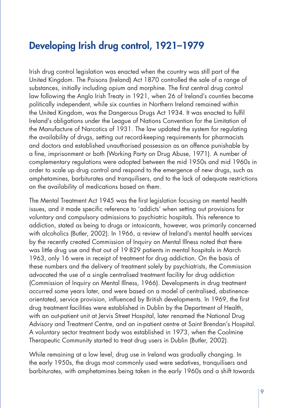# Developing Irish drug control, 1921–1979

Irish drug control legislation was enacted when the country was still part of the United Kingdom. The Poisons (Ireland) Act 1870 controlled the sale of a range of substances, initially including opium and morphine. The first central drug control law following the Anglo Irish Treaty in 1921, when 26 of Ireland's counties became politically independent, while six counties in Northern Ireland remained within the United Kingdom, was the Dangerous Drugs Act 1934. It was enacted to fulfil Ireland's obligations under the League of Nations Convention for the Limitation of the Manufacture of Narcotics of 1931. The law updated the system for regulating the availability of drugs, setting out record-keeping requirements for pharmacists and doctors and established unauthorised possession as an offence punishable by a fine, imprisonment or both (Working Party on Drug Abuse, 1971). A number of complementary regulations were adopted between the mid 1950s and mid 1960s in order to scale up drug control and respond to the emergence of new drugs, such as amphetamines, barbiturates and tranquilisers, and to the lack of adequate restrictions on the availability of medications based on them.

The Mental Treatment Act 1945 was the first legislation focusing on mental health issues, and it made specific reference to 'addicts' when setting out provisions for voluntary and compulsory admissions to psychiatric hospitals. This reference to addiction, stated as being to drugs or intoxicants, however, was primarily concerned with alcoholics (Butler, 2002). In 1966, a review of Ireland's mental health services by the recently created Commission of Inquiry on Mental Illness noted that there was little drug use and that out of 19 829 patients in mental hospitals in March 1963, only 16 were in receipt of treatment for drug addiction. On the basis of these numbers and the delivery of treatment solely by psychiatrists, the Commission advocated the use of a single centralised treatment facility for drug addiction (Commission of Inquiry on Mental Illness, 1966). Developments in drug treatment occurred some years later, and were based on a model of centralised, abstinenceorientated, service provision, influenced by British developments. In 1969, the first drug treatment facilities were established in Dublin by the Department of Health, with an out-patient unit at Jervis Street Hospital, later renamed the National Drug Advisory and Treatment Centre, and an in-patient centre at Saint Brendan's Hospital. A voluntary sector treatment body was established in 1973, when the Coolmine Therapeutic Community started to treat drug users in Dublin (Butler, 2002).

While remaining at a low level, drug use in Ireland was gradually changing. In the early 1950s, the drugs most commonly used were sedatives, tranquilisers and barbiturates, with amphetamines being taken in the early 1960s and a shift towards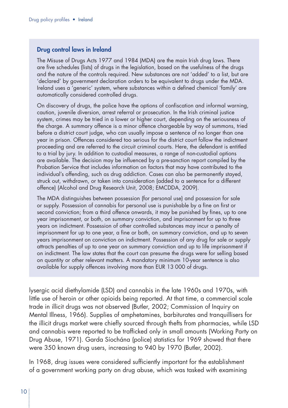#### Drug control laws in Ireland

The Misuse of Drugs Acts 1977 and 1984 (MDA) are the main Irish drug laws. There are five schedules (lists) of drugs in the legislation, based on the usefulness of the drugs and the nature of the controls required. New substances are not 'added' to a list, but are 'declared' by government declaration orders to be equivalent to drugs under the MDA. Ireland uses a 'generic' system, where substances within a defined chemical 'family' are automatically considered controlled drugs.

On discovery of drugs, the police have the options of confiscation and informal warning, caution, juvenile diversion, arrest referral or prosecution. In the Irish criminal justice system, crimes may be tried in a lower or higher court, depending on the seriousness of the charge. A summary offence is a minor offence chargeable by way of summons, tried before a district court judge, who can usually impose a sentence of no longer than one year in prison. Offences considered too serious for the district court follow the indictment proceeding and are referred to the circuit criminal courts. Here, the defendant is entitled to a trial by jury. In addition to custodial measures, a range of non-custodial options are available. The decision may be influenced by a pre-sanction report compiled by the Probation Service that includes information on factors that may have contributed to the individual's offending, such as drug addiction. Cases can also be permanently stayed, struck out, withdrawn, or taken into consideration (added to a sentence for a different offence) (Alcohol and Drug Research Unit, 2008; EMCDDA, 2009).

The MDA distinguishes between possession (for personal use) and possession for sale or supply. Possession of cannabis for personal use is punishable by a fine on first or second conviction; from a third offence onwards, it may be punished by fines, up to one year imprisonment, or both, on summary conviction, and imprisonment for up to three years on indictment. Possession of other controlled substances may incur a penalty of imprisonment for up to one year, a fine or both, on summary conviction, and up to seven years imprisonment on conviction on indictment. Possession of any drug for sale or supply attracts penalties of up to one year on summary conviction and up to life imprisonment if on indictment. The law states that the court can presume the drugs were for selling based on quantity or other relevant matters. A mandatory minimum 10-year sentence is also available for supply offences involving more than EUR 13 000 of drugs.

lysergic acid diethylamide (LSD) and cannabis in the late 1960s and 1970s, with little use of heroin or other opioids being reported. At that time, a commercial scale trade in illicit drugs was not observed (Butler, 2002; Commission of Inquiry on Mental Illness, 1966). Supplies of amphetamines, barbiturates and tranquillisers for the illicit drugs market were chiefly sourced through thefts from pharmacies, while LSD and cannabis were reported to be trafficked only in small amounts (Working Party on Drug Abuse, 1971). Garda Síochána (police) statistics for 1969 showed that there were 350 known drug users, increasing to 940 by 1970 (Butler, 2002).

In 1968, drug issues were considered sufficiently important for the establishment of a government working party on drug abuse, which was tasked with examining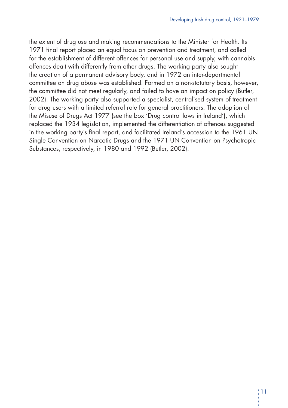the extent of drug use and making recommendations to the Minister for Health. Its 1971 final report placed an equal focus on prevention and treatment, and called for the establishment of different offences for personal use and supply, with cannabis offences dealt with differently from other drugs. The working party also sought the creation of a permanent advisory body, and in 1972 an inter-departmental committee on drug abuse was established. Formed on a non-statutory basis, however, the committee did not meet regularly, and failed to have an impact on policy (Butler, 2002). The working party also supported a specialist, centralised system of treatment for drug users with a limited referral role for general practitioners. The adoption of the Misuse of Drugs Act 1977 (see the box 'Drug control laws in Ireland'), which replaced the 1934 legislation, implemented the differentiation of offences suggested in the working party's final report, and facilitated Ireland's accession to the 1961 UN Single Convention on Narcotic Drugs and the 1971 UN Convention on Psychotropic Substances, respectively, in 1980 and 1992 (Butler, 2002).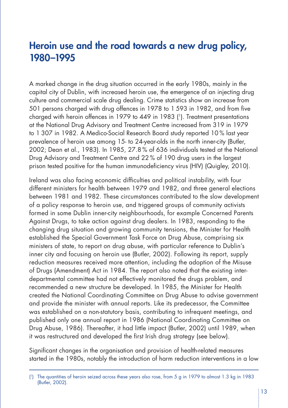# Heroin use and the road towards a new drug policy, 1980–1995

A marked change in the drug situation occurred in the early 1980s, mainly in the capital city of Dublin, with increased heroin use, the emergence of an injecting drug culture and commercial scale drug dealing. Crime statistics show an increase from 501 persons charged with drug offences in 1978 to 1 593 in 1982, and from five charged with heroin offences in 1979 to 449 in 1983 (1). Treatment presentations at the National Drug Advisory and Treatment Centre increased from 319 in 1979 to 1 307 in 1982. A Medico-Social Research Board study reported 10 % last year prevalence of heroin use among 15- to 24-year-olds in the north inner-city (Butler, 2002; Dean et al., 1983). In 1985, 27.8 % of 636 individuals tested at the National Drug Advisory and Treatment Centre and 22 % of 190 drug users in the largest prison tested positive for the human immunodeficiency virus (HIV) (Quigley, 2010).

Ireland was also facing economic difficulties and political instability, with four different ministers for health between 1979 and 1982, and three general elections between 1981 and 1982. These circumstances contributed to the slow development of a policy response to heroin use, and triggered groups of community activists formed in some Dublin inner-city neighbourhoods, for example Concerned Parents Against Drugs, to take action against drug dealers. In 1983, responding to the changing drug situation and growing community tensions, the Minister for Health established the Special Government Task Force on Drug Abuse, comprising six ministers of state, to report on drug abuse, with particular reference to Dublin's inner city and focusing on heroin use (Butler, 2002). Following its report, supply reduction measures received more attention, including the adoption of the Misuse of Drugs (Amendment) Act in 1984. The report also noted that the existing interdepartmental committee had not effectively monitored the drugs problem, and recommended a new structure be developed. In 1985, the Minister for Health created the National Coordinating Committee on Drug Abuse to advise government and provide the minister with annual reports. Like its predecessor, the Committee was established on a non-statutory basis, contributing to infrequent meetings, and published only one annual report in 1986 (National Coordinating Committee on Drug Abuse, 1986). Thereafter, it had little impact (Butler, 2002) until 1989, when it was restructured and developed the first Irish drug strategy (see below).

Significant changes in the organisation and provision of health-related measures started in the 1980s, notably the introduction of harm reduction interventions in a low

<sup>(</sup> 1) The quantities of heroin seized across these years also rose, from 5 g in 1979 to almost 1.3 kg in 1983 (Butler, 2002).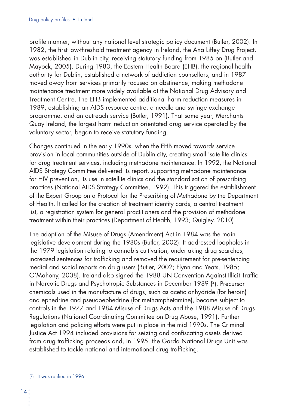profile manner, without any national level strategic policy document (Butler, 2002). In 1982, the first low-threshold treatment agency in Ireland, the Ana Liffey Drug Project, was established in Dublin city, receiving statutory funding from 1985 on (Butler and Mayock, 2005). During 1983, the Eastern Health Board (EHB), the regional health authority for Dublin, established a network of addiction counsellors, and in 1987 moved away from services primarily focused on abstinence, making methadone maintenance treatment more widely available at the National Drug Advisory and Treatment Centre. The EHB implemented additional harm reduction measures in 1989, establishing an AIDS resource centre, a needle and syringe exchange programme, and an outreach service (Butler, 1991). That same year, Merchants Quay Ireland, the largest harm reduction orientated drug service operated by the voluntary sector, began to receive statutory funding.

Changes continued in the early 1990s, when the EHB moved towards service provision in local communities outside of Dublin city, creating small 'satellite clinics' for drug treatment services, including methadone maintenance. In 1992, the National AIDS Strategy Committee delivered its report, supporting methadone maintenance for HIV prevention, its use in satellite clinics and the standardisation of prescribing practices (National AIDS Strategy Committee, 1992). This triggered the establishment of the Expert Group on a Protocol for the Prescribing of Methadone by the Department of Health. It called for the creation of treatment identity cards, a central treatment list, a registration system for general practitioners and the provision of methadone treatment within their practices (Department of Health, 1993; Quigley, 2010).

The adoption of the Misuse of Drugs (Amendment) Act in 1984 was the main legislative development during the 1980s (Butler, 2002). It addressed loopholes in the 1979 legislation relating to cannabis cultivation, undertaking drug searches, increased sentences for trafficking and removed the requirement for pre-sentencing medial and social reports on drug users (Butler, 2002; Flynn and Yeats, 1985; O'Mahony, 2008). Ireland also signed the 1988 UN Convention Against Illicit Traffic in Narcotic Drugs and Psychotropic Substances in December 1989 <sup>[2]</sup>. Precursor chemicals used in the manufacture of drugs, such as acetic anhydride (for heroin) and ephedrine and pseudoephedrine (for methamphetamine), became subject to controls in the 1977 and 1984 Misuse of Drugs Acts and the 1988 Misuse of Drugs Regulations (National Coordinating Committee on Drug Abuse, 1991). Further legislation and policing efforts were put in place in the mid 1990s. The Criminal Justice Act 1994 included provisions for seizing and confiscating assets derived from drug trafficking proceeds and, in 1995, the Garda National Drugs Unit was established to tackle national and international drug trafficking.

<sup>(</sup> 2) It was ratified in 1996.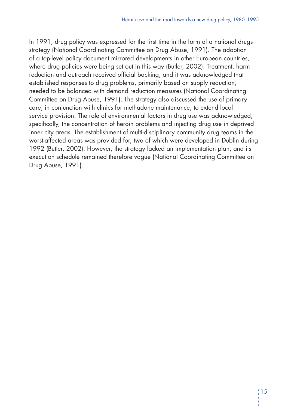In 1991, drug policy was expressed for the first time in the form of a national drugs strategy (National Coordinating Committee on Drug Abuse, 1991). The adoption of a top-level policy document mirrored developments in other European countries, where drug policies were being set out in this way (Butler, 2002). Treatment, harm reduction and outreach received official backing, and it was acknowledged that established responses to drug problems, primarily based on supply reduction, needed to be balanced with demand reduction measures (National Coordinating Committee on Drug Abuse, 1991). The strategy also discussed the use of primary care, in conjunction with clinics for methadone maintenance, to extend local service provision. The role of environmental factors in drug use was acknowledged, specifically, the concentration of heroin problems and injecting drug use in deprived inner city areas. The establishment of multi-disciplinary community drug teams in the worst-affected areas was provided for, two of which were developed in Dublin during 1992 (Butler, 2002). However, the strategy lacked an implementation plan, and its execution schedule remained therefore vague (National Coordinating Committee on Drug Abuse, 1991).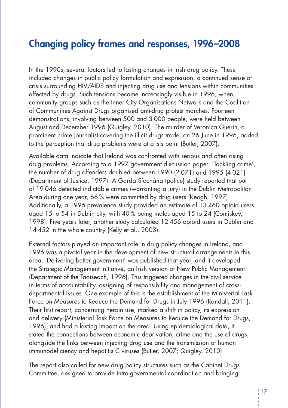# Changing policy frames and responses, 1996–2008

In the 1990s, several factors led to lasting changes in Irish drug policy. These included changes in public policy formulation and expression, a continued sense of crisis surrounding HIV/AIDS and injecting drug use and tensions within communities affected by drugs. Such tensions became increasingly visible in 1996, when community groups such as the Inner City Organisations Network and the Coalition of Communities Against Drugs organised anti-drug protest marches. Fourteen demonstrations, involving between 500 and 3 000 people, were held between August and December 1996 (Quigley, 2010). The murder of Veronica Guerin, a prominent crime journalist covering the illicit drugs trade, on 26 June in 1996, added to the perception that drug problems were at crisis point (Butler, 2007).

Available data indicate that Ireland was confronted with serious and often rising drug problems. According to a 1997 government discussion paper, 'Tackling crime', the number of drug offenders doubled between 1990 (2 071) and 1995 (4 021) (Department of Justice, 1997). A Garda Síochána (police) study reported that out of 19 046 detected indictable crimes (warranting a jury) in the Dublin Metropolitan Area during one year, 66 % were committed by drug users (Keogh, 1997). Additionally, a 1996 prevalence study provided an estimate of 13 460 opioid users aged 15 to 54 in Dublin city, with 40 % being males aged 15 to 24 (Comiskey, 1998). Five years later, another study calculated 12 456 opioid users in Dublin and 14 452 in the whole country (Kelly et al., 2003).

External factors played an important role in drug policy changes in Ireland, and 1996 was a pivotal year in the development of new structural arrangements in this area. 'Delivering better government' was published that year, and it developed the Strategic Management Initiative, an Irish version of New Public Management (Department of the Taoiseach, 1996). This triggered changes in the civil service in terms of accountability, assigning of responsibility and management of crossdepartmental issues. One example of this is the establishment of the Ministerial Task Force on Measures to Reduce the Demand for Drugs in July 1996 (Randall, 2011). Their first report, concerning heroin use, marked a shift in policy, its expression and delivery (Ministerial Task Force on Measures to Reduce the Demand for Drugs, 1996), and had a lasting impact on the area. Using epidemiological data, it stated the connections between economic deprivation, crime and the use of drugs, alongside the links between injecting drug use and the transmission of human immunodeficiency and hepatitis C viruses (Butler, 2007; Quigley, 2010).

The report also called for new drug policy structures such as the Cabinet Drugs Committee, designed to provide intra-governmental coordination and bringing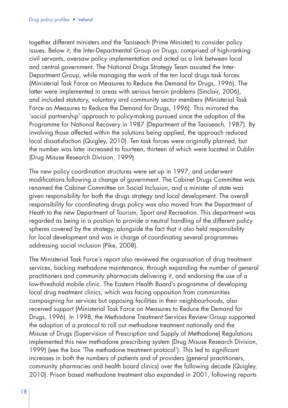together different ministers and the Taoiseach (Prime Minister) to consider policy issues. Below it, the Inter-Departmental Group on Drugs, comprised of high-ranking civil servants, oversaw policy implementation and acted as a link between local and central government. The National Drugs Strategy Team assisted the Inter-Department Group, while managing the work of the ten local drugs task forces (Ministerial Task Force on Measures to Reduce the Demand for Drugs, 1996). The latter were implemented in areas with serious heroin problems (Sinclair, 2006), and included statutory, voluntary and community sector members (Ministerial Task Force on Measures to Reduce the Demand for Drugs, 1996). This mirrored the 'social partnership' approach to policy-making pursued since the adoption of the Programme for National Recovery in 1987 (Department of the Taoiseach, 1987). By involving those affected within the solutions being applied, the approach reduced local dissatisfaction (Quigley, 2010). Ten task forces were originally planned, but the number was later increased to fourteen, thirteen of which were located in Dublin (Drug Misuse Research Division, 1999).

The new policy coordination structures were set up in 1997, and underwent modifications following a change of government. The Cabinet Drugs Committee was renamed the Cabinet Committee on Social Inclusion, and a minister of state was given responsibility for both the drugs strategy and local development. The overall responsibility for coordinating drugs policy was also moved from the Department of Heath to the new Department of Tourism, Sport and Recreation. This department was regarded as being in a position to provide a neutral handling of the different policy spheres covered by the strategy, alongside the fact that it also held responsibility for local development and was in charge of coordinating several programmes addressing social inclusion (Pike, 2008).

The Ministerial Task Force's report also reviewed the organisation of drug treatment services, backing methadone maintenance, through expanding the number of general practitioners and community pharmacists delivering it, and endorsing the use of a low-threshold mobile clinic. The Eastern Health Board's programme of developing local drug treatment clinics, which was facing opposition from communities campaigning for services but opposing facilities in their neighbourhoods, also received support (Ministerial Task Force on Measures to Reduce the Demand for Drugs, 1996). In 1998, the Methadone Treatment Services Review Group supported the adoption of a protocol to roll out methadone treatment nationally and the Misuse of Drugs (Supervision of Prescription and Supply of Methadone) Regulations implemented this new methadone prescribing system (Drug Misuse Research Division, 1999) (see the box 'The methadone treatment protocol'). This led to significant increases in both the numbers of patients and of providers (general practitioners, community pharmacies and health board clinics) over the following decade (Quigley, 2010). Prison based methadone treatment also expanded in 2001, following reports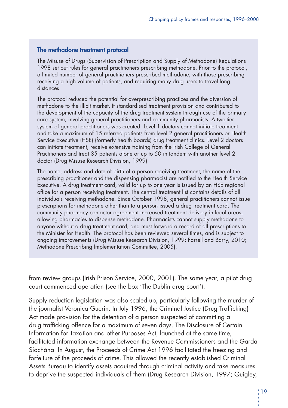#### The methadone treatment protocol

The Misuse of Drugs (Supervision of Prescription and Supply of Methadone) Regulations 1998 set out rules for general practitioners prescribing methadone. Prior to the protocol, a limited number of general practitioners prescribed methadone, with those prescribing receiving a high volume of patients, and requiring many drug users to travel long distances.

The protocol reduced the potential for overprescribing practices and the diversion of methadone to the illicit market. It standardised treatment provision and contributed to the development of the capacity of the drug treatment system through use of the primary care system, involving general practitioners and community pharmacists. A two-tier system of general practitioners was created. Level 1 doctors cannot initiate treatment and take a maximum of 15 referred patients from level 2 general practitioners or Health Service Executive (HSE) (formerly health boards) drug treatment clinics. Level 2 doctors can initiate treatment, receive extensive training from the Irish College of General Practitioners and treat 35 patients alone or up to 50 in tandem with another level 2 doctor (Drug Misuse Research Division, 1999).

The name, address and date of birth of a person receiving treatment, the name of the prescribing practitioner and the dispensing pharmacist are notified to the Health Service Executive. A drug treatment card, valid for up to one year is issued by an HSE regional office for a person receiving treatment. The central treatment list contains details of all individuals receiving methadone. Since October 1998, general practitioners cannot issue prescriptions for methadone other than to a person issued a drug treatment card. The community pharmacy contactor agreement increased treatment delivery in local areas, allowing pharmacies to dispense methadone. Pharmacists cannot supply methadone to anyone without a drug treatment card, and must forward a record of all prescriptions to the Minister for Health. The protocol has been reviewed several times, and is subject to ongoing improvements (Drug Misuse Research Division, 1999; Farrell and Barry, 2010; Methadone Prescribing Implementation Committee, 2005).

from review groups (Irish Prison Service, 2000, 2001). The same year, a pilot drug court commenced operation (see the box 'The Dublin drug court').

Supply reduction legislation was also scaled up, particularly following the murder of the journalist Veronica Guerin. In July 1996, the Criminal Justice (Drug Trafficking) Act made provision for the detention of a person suspected of committing a drug trafficking offence for a maximum of seven days. The Disclosure of Certain Information for Taxation and other Purposes Act, launched at the same time, facilitated information exchange between the Revenue Commissioners and the Garda Síochána. In August, the Proceeds of Crime Act 1996 facilitated the freezing and forfeiture of the proceeds of crime. This allowed the recently established Criminal Assets Bureau to identify assets acquired through criminal activity and take measures to deprive the suspected individuals of them (Drug Research Division, 1997; Quigley,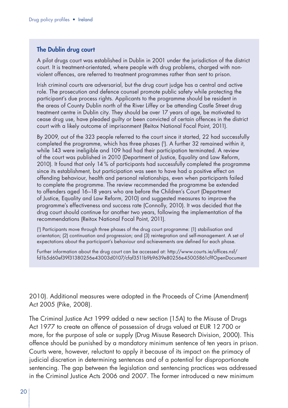#### The Dublin drug court

A pilot drugs court was established in Dublin in 2001 under the jurisdiction of the district court. It is treatment-orientated, where people with drug problems, charged with nonviolent offences, are referred to treatment programmes rather than sent to prison.

Irish criminal courts are adversarial, but the drug court judge has a central and active role. The prosecution and defence counsel promote public safety while protecting the participant's due process rights. Applicants to the programme should be resident in the areas of County Dublin north of the River Liffey or be attending Castle Street drug treatment centre in Dublin city. They should be over 17 years of age, be motivated to cease drug use, have pleaded guilty or been convicted of certain offences in the district court with a likely outcome of imprisonment (Reitox National Focal Point, 2011).

By 2009, out of the 323 people referred to the court since it started, 22 had successfully completed the programme, which has three phases (1 ). A further 32 remained within it, while 143 were ineligible and 109 had had their participation terminated. A review of the court was published in 2010 (Department of Justice, Equality and Law Reform, 2010). It found that only 14 % of participants had successfully completed the programme since its establishment, but participation was seen to have had a positive effect on offending behaviour, health and personal relationships, even when participants failed to complete the programme. The review recommended the programme be extended to offenders aged 16–18 years who are before the Children's Court (Department of Justice, Equality and Law Reform, 2010) and suggested measures to improve the programme's effectiveness and success rate (Connolly, 2010). It was decided that the drug court should continue for another two years, following the implementation of the recommendations (Reitox National Focal Point, 2011).

( 1 ) Participants move through three phases of the drug court programme: (1) stabilisation and orientation; (2) continuation and progression; and (3) reintegration and self-management. A set of expectations about the participant's behaviour and achievements are defined for each phase.

Further information about the drug court can be accessed at: http://www.courts.ie/offices.nsf/ fd1b5d60ef39f31380256e43003d0107/cfaf3511b9b9639e80256e45005861cf?OpenDocument

2010). Additional measures were adopted in the Proceeds of Crime (Amendment) Act 2005 (Pike, 2008).

The Criminal Justice Act 1999 added a new section (15A) to the Misuse of Drugs Act 1977 to create an offence of possession of drugs valued at EUR 12 700 or more, for the purpose of sale or supply (Drug Misuse Research Division, 2000). This offence should be punished by a mandatory minimum sentence of ten years in prison. Courts were, however, reluctant to apply it because of its impact on the primacy of judicial discretion in determining sentences and of a potential for disproportionate sentencing. The gap between the legislation and sentencing practices was addressed in the Criminal Justice Acts 2006 and 2007. The former introduced a new minimum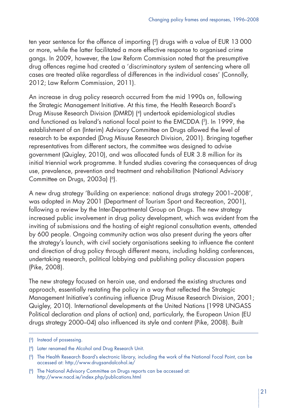ten year sentence for the offence of importing <sup>[3</sup>] drugs with a value of EUR 13 000 or more, while the latter facilitated a more effective response to organised crime gangs. In 2009, however, the Law Reform Commission noted that the presumptive drug offences regime had created a 'discriminatory system of sentencing where all cases are treated alike regardless of differences in the individual cases' (Connolly, 2012; Law Reform Commission, 2011).

An increase in drug policy research occurred from the mid 1990s on, following the Strategic Management Initiative. At this time, the Health Research Board's Drug Misuse Research Division (DMRD) (4) undertook epidemiological studies and functioned as Ireland's national focal point to the EMCDDA (5). In 1999, the establishment of an (Interim) Advisory Committee on Drugs allowed the level of research to be expanded (Drug Misuse Research Division, 2001). Bringing together representatives from different sectors, the committee was designed to advise government (Quigley, 2010), and was allocated funds of EUR 3.8 million for its initial triennial work programme. It funded studies covering the consequences of drug use, prevalence, prevention and treatment and rehabilitation (National Advisory Committee on Drugs, 2003a) (<sup>6</sup>).

A new drug strategy 'Building on experience: national drugs strategy 2001–2008', was adopted in May 2001 (Department of Tourism Sport and Recreation, 2001), following a review by the Inter-Departmental Group on Drugs. The new strategy increased public involvement in drug policy development, which was evident from the inviting of submissions and the hosting of eight regional consultation events, attended by 600 people. Ongoing community action was also present during the years after the strategy's launch, with civil society organisations seeking to influence the content and direction of drug policy through different means, including holding conferences, undertaking research, political lobbying and publishing policy discussion papers (Pike, 2008).

The new strategy focused on heroin use, and endorsed the existing structures and approach, essentially restating the policy in a way that reflected the Strategic Management Initiative's continuing influence (Drug Misuse Research Division, 2001; Quigley, 2010). International developments at the United Nations (1998 UNGASS Political declaration and plans of action) and, particularly, the European Union (EU drugs strategy 2000–04) also influenced its style and content (Pike, 2008). Built

<sup>(</sup> 3) Instead of possessing.

<sup>(</sup> 4) Later renamed the Alcohol and Drug Research Unit.

<sup>(</sup> 5) The Health Research Board's electronic library, including the work of the National Focal Point, can be accessed at: http://www.drugsandalcohol.ie/

<sup>(</sup> 6) The National Advisory Committee on Drugs reports can be accessed at: http://www.nacd.ie/index.php/publications.html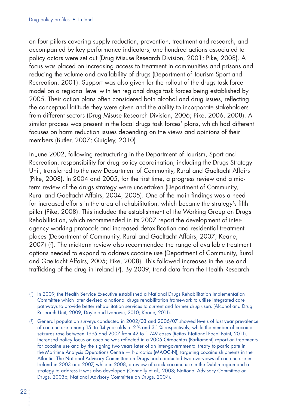on four pillars covering supply reduction, prevention, treatment and research, and accompanied by key performance indicators, one hundred actions associated to policy actors were set out (Drug Misuse Research Division, 2001; Pike, 2008). A focus was placed on increasing access to treatment in communities and prisons and reducing the volume and availability of drugs (Department of Tourism Sport and Recreation, 2001). Support was also given for the rollout of the drugs task force model on a regional level with ten regional drugs task forces being established by 2005. Their action plans often considered both alcohol and drug issues, reflecting the conceptual latitude they were given and the ability to incorporate stakeholders from different sectors (Drug Misuse Research Division, 2006; Pike, 2006, 2008). A similar process was present in the local drugs task forces' plans, which had different focuses on harm reduction issues depending on the views and opinions of their members (Butler, 2007; Quigley, 2010).

In June 2002, following restructuring in the Department of Tourism, Sport and Recreation, responsibility for drug policy coordination, including the Drugs Strategy Unit, transferred to the new Department of Community, Rural and Gaeltacht Affairs (Pike, 2008). In 2004 and 2005, for the first time, a progress review and a midterm review of the drugs strategy were undertaken (Department of Community, Rural and Gaeltacht Affairs, 2004, 2005). One of the main findings was a need for increased efforts in the area of rehabilitation, which became the strategy's fifth pillar (Pike, 2008). This included the establishment of the Working Group on Drugs Rehabilitation, which recommended in its 2007 report the development of interagency working protocols and increased detoxification and residential treatment places (Department of Community, Rural and Gaeltacht Affairs, 2007; Keane, 2007) (7). The mid-term review also recommended the range of available treatment options needed to expand to address cocaine use (Department of Community, Rural and Gaeltacht Affairs, 2005; Pike, 2008). This followed increases in the use and trafficking of the drug in Ireland (8). By 2009, trend data from the Health Research

<sup>(</sup> 7) In 2009, the Health Service Executive established a National Drugs Rehabilitation Implementation Committee which later devised a national drugs rehabilitation framework to utilise integrated care pathways to provide better rehabilitation services to current and former drug users (Alcohol and Drug Research Unit, 2009; Doyle and Ivanovic, 2010; Keane, 2011).

<sup>(</sup> 8) General population surveys conducted in 2002/03 and 2006/07 showed levels of last year prevalence of cocaine use among 15- to 34-year-olds at 2 % and 3.1 % respectively, while the number of cocaine seizures rose between 1995 and 2007 from 42 to 1 749 cases (Reitox National Focal Point, 2011). Increased policy focus on cocaine was reflected in a 2005 Oireachtas (Parliament) report on treatments for cocaine use and by the signing two years later of an inter-governmental treaty to participate in the Maritime Analysis Operations Centre — Narcotics (MAOC-N), targeting cocaine shipments in the Atlantic. The National Advisory Committee on Drugs had conducted two overviews of cocaine use in Ireland in 2003 and 2007, while in 2008, a review of crack cocaine use in the Dublin region and a strategy to address it was also developed (Connolly et al., 2008; National Advisory Committee on Drugs, 2003b; National Advisory Committee on Drugs, 2007).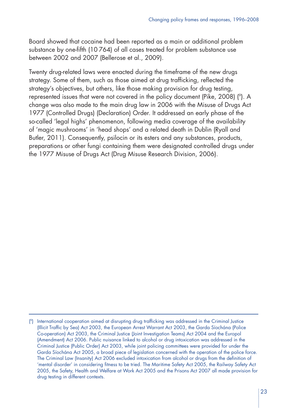Board showed that cocaine had been reported as a main or additional problem substance by one-fifth (10 764) of all cases treated for problem substance use between 2002 and 2007 (Bellerose et al., 2009).

Twenty drug-related laws were enacted during the timeframe of the new drugs strategy. Some of them, such as those aimed at drug trafficking, reflected the strategy's objectives, but others, like those making provision for drug testing, represented issues that were not covered in the policy document (Pike, 2008) (9). A change was also made to the main drug law in 2006 with the Misuse of Drugs Act 1977 (Controlled Drugs) (Declaration) Order. It addressed an early phase of the so-called 'legal highs' phenomenon, following media coverage of the availability of 'magic mushrooms' in 'head shops' and a related death in Dublin (Ryall and Butler, 2011). Consequently, psilocin or its esters and any substances, products, preparations or other fungi containing them were designated controlled drugs under the 1977 Misuse of Drugs Act (Drug Misuse Research Division, 2006).

<sup>(</sup> 9) International cooperation aimed at disrupting drug trafficking was addressed in the Criminal Justice (Illicit Traffic by Sea) Act 2003, the European Arrest Warrant Act 2003, the Garda Síochána (Police Co-operation) Act 2003, the Criminal Justice (Joint Investigation Teams) Act 2004 and the Europol (Amendment) Act 2006. Public nuisance linked to alcohol or drug intoxication was addressed in the Criminal Justice (Public Order) Act 2003, while joint policing committees were provided for under the Garda Síochána Act 2005, a broad piece of legislation concerned with the operation of the police force. The Criminal Law (Insanity) Act 2006 excluded intoxication from alcohol or drugs from the definition of 'mental disorder' in considering fitness to be tried. The Maritime Safety Act 2005, the Railway Safety Act 2005, the Safety, Health and Welfare at Work Act 2005 and the Prisons Act 2007 all made provision for drug testing in different contexts.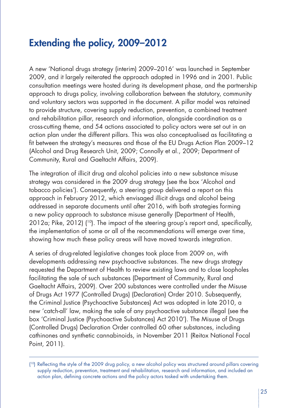# Extending the policy, 2009–2012

A new 'National drugs strategy (interim) 2009–2016' was launched in September 2009, and it largely reiterated the approach adopted in 1996 and in 2001. Public consultation meetings were hosted during its development phase, and the partnership approach to drugs policy, involving collaboration between the statutory, community and voluntary sectors was supported in the document. A pillar model was retained to provide structure, covering supply reduction, prevention, a combined treatment and rehabilitation pillar, research and information, alongside coordination as a cross-cutting theme, and 54 actions associated to policy actors were set out in an action plan under the different pillars. This was also conceptualised as facilitating a fit between the strategy's measures and those of the EU Drugs Action Plan 2009–12 (Alcohol and Drug Research Unit, 2009; Connolly et al., 2009; Department of Community, Rural and Gaeltacht Affairs, 2009).

The integration of illicit drug and alcohol policies into a new substance misuse strategy was considered in the 2009 drug strategy (see the box 'Alcohol and tobacco policies'). Consequently, a steering group delivered a report on this approach in February 2012, which envisaged illicit drugs and alcohol being addressed in separate documents until after 2016, with both strategies forming a new policy approach to substance misuse generally (Department of Health, 2012a; Pike, 2012) (<sup>10</sup>). The impact of the steering group's report and, specifically, the implementation of some or all of the recommendations will emerge over time, showing how much these policy areas will have moved towards integration.

A series of drug-related legislative changes took place from 2009 on, with developments addressing new psychoactive substances. The new drugs strategy requested the Department of Health to review existing laws and to close loopholes facilitating the sale of such substances (Department of Community, Rural and Gaeltacht Affairs, 2009). Over 200 substances were controlled under the Misuse of Drugs Act 1977 (Controlled Drugs) (Declaration) Order 2010. Subsequently, the Criminal Justice (Psychoactive Substances) Act was adopted in late 2010, a new 'catch-all' law, making the sale of any psychoactive substance illegal (see the box 'Criminal Justice (Psychoactive Substances) Act 2010'). The Misuse of Drugs (Controlled Drugs) Declaration Order controlled 60 other substances, including cathinones and synthetic cannabinoids, in November 2011 (Reitox National Focal Point, 2011).

<sup>(&</sup>lt;sup>10</sup>) Reflecting the style of the 2009 drug policy, a new alcohol policy was structured around pillars covering supply reduction, prevention, treatment and rehabilitation, research and information, and included an action plan, defining concrete actions and the policy actors tasked with undertaking them.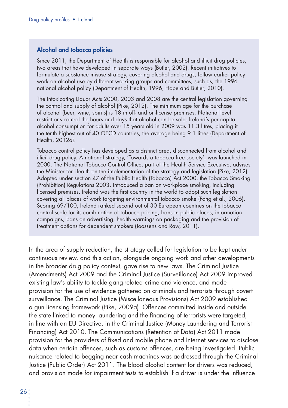#### Alcohol and tobacco policies

Since 2011, the Department of Health is responsible for alcohol and illicit drug policies, two areas that have developed in separate ways (Butler, 2002). Recent initiatives to formulate a substance misuse strategy, covering alcohol and drugs, follow earlier policy work on alcohol use by different working groups and committees, such as, the 1996 national alcohol policy (Department of Health, 1996; Hope and Butler, 2010).

The Intoxicating Liquor Acts 2000, 2003 and 2008 are the central legislation governing the control and supply of alcohol (Pike, 2012). The minimum age for the purchase of alcohol (beer, wine, spirits) is 18 in off- and on-license premises. National level restrictions control the hours and days that alcohol can be sold. Ireland's per capita alcohol consumption for adults over 15 years old in 2009 was 11.3 litres, placing it the tenth highest out of 40 OECD countries, the average being 9.1 litres (Department of Health, 2012a).

Tobacco control policy has developed as a distinct area, disconnected from alcohol and illicit drug policy. A national strategy, 'Towards a tobacco free society', was launched in 2000. The National Tobacco Control Office, part of the Health Service Executive, advises the Minister for Health on the implementation of the strategy and legislation (Pike, 2012). Adopted under section 47 of the Public Health (Tobacco) Act 2000, the Tobacco Smoking (Prohibition) Regulations 2003, introduced a ban on workplace smoking, including licensed premises. Ireland was the first country in the world to adopt such legislation covering all places of work targeting environmental tobacco smoke (Fong et al., 2006). Scoring 69/100, Ireland ranked second out of 30 European countries on the tobacco control scale for its combination of tobacco pricing, bans in public places, information campaigns, bans on advertising, health warnings on packaging and the provision of treatment options for dependent smokers (Joossens and Raw, 2011).

In the area of supply reduction, the strategy called for legislation to be kept under continuous review, and this action, alongside ongoing work and other developments in the broader drug policy context, gave rise to new laws. The Criminal Justice (Amendments) Act 2009 and the Criminal Justice (Surveillance) Act 2009 improved existing law's ability to tackle gang-related crime and violence, and made provision for the use of evidence gathered on criminals and terrorists through covert surveillance. The Criminal Justice (Miscellaneous Provisions) Act 2009 established a gun licensing framework (Pike, 2009a). Offences committed inside and outside the state linked to money laundering and the financing of terrorists were targeted, in line with an EU Directive, in the Criminal Justice (Money Laundering and Terrorist Financing) Act 2010. The Communications (Retention of Data) Act 2011 made provision for the providers of fixed and mobile phone and Internet services to disclose data when certain offences, such as customs offences, are being investigated. Public nuisance related to begging near cash machines was addressed through the Criminal Justice (Public Order) Act 2011. The blood alcohol content for drivers was reduced, and provision made for impairment tests to establish if a driver is under the influence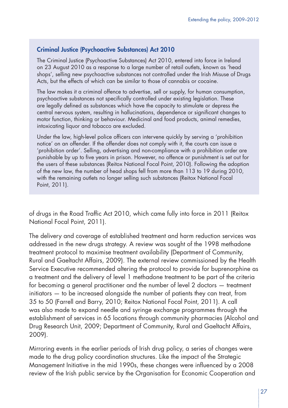#### Criminal Justice (Psychoactive Substances) Act 2010

The Criminal Justice (Psychoactive Substances) Act 2010, entered into force in Ireland on 23 August 2010 as a response to a large number of retail outlets, known as 'head shops', selling new psychoactive substances not controlled under the Irish Misuse of Drugs Acts, but the effects of which can be similar to those of cannabis or cocaine.

The law makes it a criminal offence to advertise, sell or supply, for human consumption, psychoactive substances not specifically controlled under existing legislation. These are legally defined as substances which have the capacity to stimulate or depress the central nervous system, resulting in hallucinations, dependence or significant changes to motor function, thinking or behaviour. Medicinal and food products, animal remedies, intoxicating liquor and tobacco are excluded.

Under the law, high-level police officers can intervene quickly by serving a 'prohibition notice' on an offender. If the offender does not comply with it, the courts can issue a 'prohibition order'. Selling, advertising and non-compliance with a prohibition order are punishable by up to five years in prison. However, no offence or punishment is set out for the users of these substances (Reitox National Focal Point, 2010). Following the adoption of the new law, the number of head shops fell from more than 113 to 19 during 2010, with the remaining outlets no longer selling such substances (Reitox National Focal Point, 2011).

of drugs in the Road Traffic Act 2010, which came fully into force in 2011 (Reitox National Focal Point, 2011).

The delivery and coverage of established treatment and harm reduction services was addressed in the new drugs strategy. A review was sought of the 1998 methadone treatment protocol to maximise treatment availability (Department of Community, Rural and Gaeltacht Affairs, 2009). The external review commissioned by the Health Service Executive recommended altering the protocol to provide for buprenorphine as a treatment and the delivery of level 1 methadone treatment to be part of the criteria for becoming a general practitioner and the number of level 2 doctors — treatment initiators — to be increased alongside the number of patients they can treat, from 35 to 50 (Farrell and Barry, 2010; Reitox National Focal Point, 2011). A call was also made to expand needle and syringe exchange programmes through the establishment of services in 65 locations through community pharmacies (Alcohol and Drug Research Unit, 2009; Department of Community, Rural and Gaeltacht Affairs, 2009).

Mirroring events in the earlier periods of Irish drug policy, a series of changes were made to the drug policy coordination structures. Like the impact of the Strategic Management Initiative in the mid 1990s, these changes were influenced by a 2008 review of the Irish public service by the Organisation for Economic Cooperation and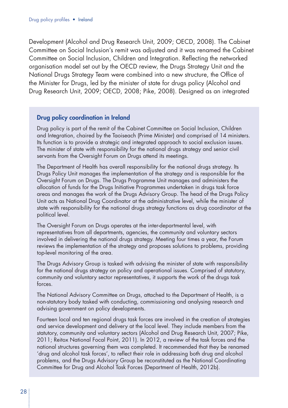Development (Alcohol and Drug Research Unit, 2009; OECD, 2008). The Cabinet Committee on Social Inclusion's remit was adjusted and it was renamed the Cabinet Committee on Social Inclusion, Children and Integration. Reflecting the networked organisation model set out by the OECD review, the Drugs Strategy Unit and the National Drugs Strategy Team were combined into a new structure, the Office of the Minister for Drugs, led by the minister of state for drugs policy (Alcohol and Drug Research Unit, 2009; OECD, 2008; Pike, 2008). Designed as an integrated

#### Drug policy coordination in Ireland

Drug policy is part of the remit of the Cabinet Committee on Social Inclusion, Children and Integration, chaired by the Taoiseach (Prime Minister) and comprised of 14 ministers. Its function is to provide a strategic and integrated approach to social exclusion issues. The minister of state with responsibility for the national drugs strategy and senior civil servants from the Oversight Forum on Drugs attend its meetings.

The Department of Health has overall responsibility for the national drugs strategy. Its Drugs Policy Unit manages the implementation of the strategy and is responsible for the Oversight Forum on Drugs. The Drugs Programme Unit manages and administers the allocation of funds for the Drugs Initiative Programmes undertaken in drugs task force areas and manages the work of the Drugs Advisory Group. The head of the Drugs Policy Unit acts as National Drug Coordinator at the administrative level, while the minister of state with responsibility for the national drugs strategy functions as drug coordinator at the political level.

The Oversight Forum on Drugs operates at the inter-departmental level, with representatives from all departments, agencies, the community and voluntary sectors involved in delivering the national drugs strategy. Meeting four times a year, the Forum reviews the implementation of the strategy and proposes solutions to problems, providing top-level monitoring of the area.

The Drugs Advisory Group is tasked with advising the minister of state with responsibility for the national drugs strategy on policy and operational issues. Comprised of statutory, community and voluntary sector representatives, it supports the work of the drugs task forces.

The National Advisory Committee on Drugs, attached to the Department of Health, is a non-statutory body tasked with conducting, commissioning and analysing research and advising government on policy developments.

Fourteen local and ten regional drugs task forces are involved in the creation of strategies and service development and delivery at the local level. They include members from the statutory, community and voluntary sectors (Alcohol and Drug Research Unit, 2007; Pike, 2011; Reitox National Focal Point, 2011). In 2012, a review of the task forces and the national structures governing them was completed. It recommended that they be renamed 'drug and alcohol task forces', to reflect their role in addressing both drug and alcohol problems, and the Drugs Advisory Group be reconstituted as the National Coordinating Committee for Drug and Alcohol Task Forces (Department of Health, 2012b).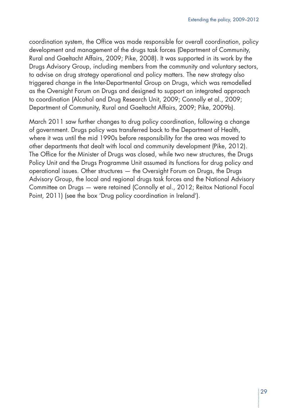coordination system, the Office was made responsible for overall coordination, policy development and management of the drugs task forces (Department of Community, Rural and Gaeltacht Affairs, 2009; Pike, 2008). It was supported in its work by the Drugs Advisory Group, including members from the community and voluntary sectors, to advise on drug strategy operational and policy matters. The new strategy also triggered change in the Inter-Departmental Group on Drugs, which was remodelled as the Oversight Forum on Drugs and designed to support an integrated approach to coordination (Alcohol and Drug Research Unit, 2009; Connolly et al., 2009; Department of Community, Rural and Gaeltacht Affairs, 2009; Pike, 2009b).

March 2011 saw further changes to drug policy coordination, following a change of government. Drugs policy was transferred back to the Department of Health, where it was until the mid 1990s before responsibility for the area was moved to other departments that dealt with local and community development (Pike, 2012). The Office for the Minister of Drugs was closed, while two new structures, the Drugs Policy Unit and the Drugs Programme Unit assumed its functions for drug policy and operational issues. Other structures — the Oversight Forum on Drugs, the Drugs Advisory Group, the local and regional drugs task forces and the National Advisory Committee on Drugs — were retained (Connolly et al., 2012; Reitox National Focal Point, 2011) (see the box 'Drug policy coordination in Ireland').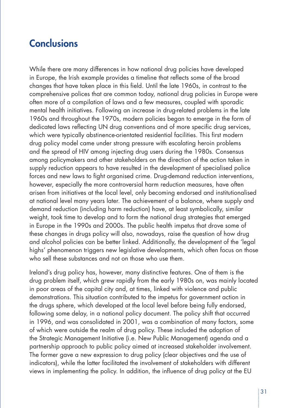## **Conclusions**

While there are many differences in how national drug policies have developed in Europe, the Irish example provides a timeline that reflects some of the broad changes that have taken place in this field. Until the late 1960s, in contrast to the comprehensive polices that are common today, national drug policies in Europe were often more of a compilation of laws and a few measures, coupled with sporadic mental health initiatives. Following an increase in drug-related problems in the late 1960s and throughout the 1970s, modern policies began to emerge in the form of dedicated laws reflecting UN drug conventions and of more specific drug services, which were typically abstinence-orientated residential facilities. This first modern drug policy model came under strong pressure with escalating heroin problems and the spread of HIV among injecting drug users during the 1980s. Consensus among policymakers and other stakeholders on the direction of the action taken in supply reduction appears to have resulted in the development of specialised police forces and new laws to fight organised crime. Drug-demand reduction interventions, however, especially the more controversial harm reduction measures, have often arisen from initiatives at the local level, only becoming endorsed and institutionalised at national level many years later. The achievement of a balance, where supply and demand reduction (including harm reduction) have, at least symbolically, similar weight, took time to develop and to form the national drug strategies that emerged in Europe in the 1990s and 2000s. The public health impetus that drove some of these changes in drugs policy will also, nowadays, raise the question of how drug and alcohol policies can be better linked. Additionally, the development of the 'legal highs' phenomenon triggers new legislative developments, which often focus on those who sell these substances and not on those who use them.

Ireland's drug policy has, however, many distinctive features. One of them is the drug problem itself, which grew rapidly from the early 1980s on, was mainly located in poor areas of the capital city and, at times, linked with violence and public demonstrations. This situation contributed to the impetus for government action in the drugs sphere, which developed at the local level before being fully endorsed, following some delay, in a national policy document. The policy shift that occurred in 1996, and was consolidated in 2001, was a combination of many factors, some of which were outside the realm of drug policy. These included the adoption of the Strategic Management Initiative (i.e. New Public Management) agenda and a partnership approach to public policy aimed at increased stakeholder involvement. The former gave a new expression to drug policy (clear objectives and the use of indicators), while the latter facilitated the involvement of stakeholders with different views in implementing the policy. In addition, the influence of drug policy at the EU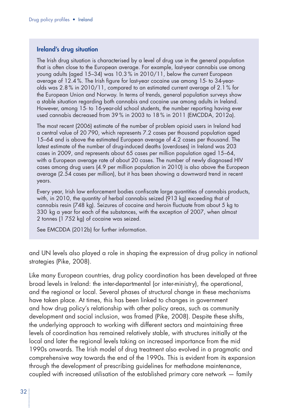#### Ireland's drug situation

The Irish drug situation is characterised by a level of drug use in the general population that is often close to the European average. For example, last-year cannabis use among young adults (aged 15–34) was 10.3 % in 2010/11, below the current European average of 12.4 %. The Irish figure for last-year cocaine use among 15- to 34-yearolds was 2.8 % in 2010/11, compared to an estimated current average of 2.1 % for the European Union and Norway. In terms of trends, general population surveys show a stable situation regarding both cannabis and cocaine use among adults in Ireland. However, among 15- to 16-year-old school students, the number reporting having ever used cannabis decreased from 39 % in 2003 to 18 % in 2011 (EMCDDA, 2012a).

The most recent (2006) estimate of the number of problem opioid users in Ireland had a central value of 20 790, which represents 7.2 cases per thousand population aged 15–64 and is above the estimated European average of 4.2 cases per thousand. The latest estimate of the number of drug-induced deaths (overdoses) in Ireland was 203 cases in 2009, and represents about 65 cases per million population aged 15–64, with a European average rate of about 20 cases. The number of newly diagnosed HIV cases among drug users (4.9 per million population in 2010) is also above the European average (2.54 cases per million), but it has been showing a downward trend in recent years.

Every year, Irish law enforcement bodies confiscate large quantities of cannabis products, with, in 2010, the quantity of herbal cannabis seized (913 kg) exceeding that of cannabis resin (748 kg). Seizures of cocaine and heroin fluctuate from about 5 kg to 330 kg a year for each of the substances, with the exception of 2007, when almost 2 tonnes (1 752 kg) of cocaine was seized.

See EMCDDA (2012b) for further information.

and UN levels also played a role in shaping the expression of drug policy in national strategies (Pike, 2008).

Like many European countries, drug policy coordination has been developed at three broad levels in Ireland: the inter-departmental (or inter-ministry), the operational, and the regional or local. Several phases of structural change in these mechanisms have taken place. At times, this has been linked to changes in government and how drug policy's relationship with other policy areas, such as community development and social inclusion, was framed (Pike, 2008). Despite these shifts, the underlying approach to working with different sectors and maintaining three levels of coordination has remained relatively stable, with structures initially at the local and later the regional levels taking on increased importance from the mid 1990s onwards. The Irish model of drug treatment also evolved in a pragmatic and comprehensive way towards the end of the 1990s. This is evident from its expansion through the development of prescribing guidelines for methadone maintenance, coupled with increased utilisation of the established primary care network — family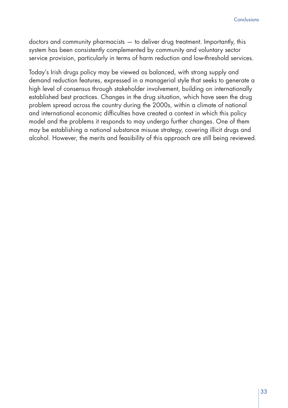doctors and community pharmacists — to deliver drug treatment. Importantly, this system has been consistently complemented by community and voluntary sector service provision, particularly in terms of harm reduction and low-threshold services.

Today's Irish drugs policy may be viewed as balanced, with strong supply and demand reduction features, expressed in a managerial style that seeks to generate a high level of consensus through stakeholder involvement, building on internationally established best practices. Changes in the drug situation, which have seen the drug problem spread across the country during the 2000s, within a climate of national and international economic difficulties have created a context in which this policy model and the problems it responds to may undergo further changes. One of them may be establishing a national substance misuse strategy, covering illicit drugs and alcohol. However, the merits and feasibility of this approach are still being reviewed.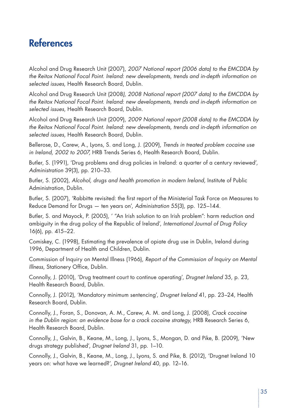# References

Alcohol and Drug Research Unit (2007), *2007 National report (2006 data) to the EMCDDA by the Reitox National Focal Point. Ireland: new developments, trends and in-depth information on selected issues,* Health Research Board, Dublin.

Alcohol and Drug Research Unit (2008*), 2008 National report (2007 data) to the EMCDDA by the Reitox National Focal Point. Ireland: new developments, trends and in-depth information on selected issues*, Health Research Board, Dublin.

Alcohol and Drug Research Unit (2009), *2009 National report (2008 data) to the EMCDDA by the Reitox National Focal Point. Ireland: new developments, trends and in-depth information on selected issues*, Health Research Board, Dublin.

Bellerose, D., Carew, A., Lyons, S. and Long, J. (2009), *Trends in treated problem cocaine use in Ireland, 2002 to 2007,* HRB Trends Series 6, Health Research Board, Dublin.

Butler, S. (1991), 'Drug problems and drug policies in Ireland: a quarter of a century reviewed', *Administration* 39(3), pp. 210–33.

Butler, S. (2002), *Alcohol, drugs and health promotion in modern Ireland*, Institute of Public Administration, Dublin.

Butler, S. (2007), 'Rabbitte revisited: the first report of the Ministerial Task Force on Measures to Reduce Demand for Drugs — ten years on', *Administration* 55(3), pp. 125–144.

Butler, S. and Mayock, P. (2005), ' "An Irish solution to an Irish problem": harm reduction and ambiguity in the drug policy of the Republic of Ireland', *International Journal of Drug Policy* 16(6), pp. 415–22.

Comiskey, C. (1998), Estimating the prevalence of opiate drug use in Dublin, Ireland during 1996, Department of Health and Children, Dublin.

Commission of Inquiry on Mental Illness (1966), *Report of the Commission of Inquiry on Mental Illness*, Stationery Office, Dublin.

Connolly, J. (2010), 'Drug treatment court to continue operating', *Drugnet Ireland* 35, p. 23, Health Research Board, Dublin.

Connolly, J. (2012), 'Mandatory minimum sentencing', *Drugnet Ireland* 41, pp. 23–24, Health Research Board, Dublin.

Connolly, J., Foran, S., Donovan, A. M., Carew, A. M. and Long, J. (2008), *Crack cocaine*  in the Dublin region: an evidence base for a crack cocaine strategy, HRB Research Series 6, Health Research Board, Dublin.

Connolly, J., Galvin, B., Keane, M., Long, J., Lyons, S., Mongan, D. and Pike, B. (2009), 'New drugs strategy published', *Drugnet Ireland* 31, pp. 1–10.

Connolly, J., Galvin, B., Keane, M., Long, J., Lyons, S. and [Pike, B](http://www.drugsandalcohol.ie/view/people/Pike=3ABrigid=3A=3A.html). (2012), 'Drugnet Ireland 10 years on: what have we learned?', *Drugnet Ireland* 40, pp. 12–16.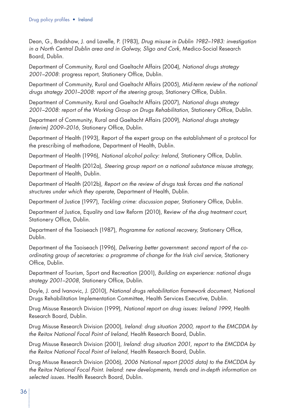Dean, G., Bradshaw, J. and Lavelle, P. (1983), *Drug misuse in Dublin 1982–1983: investigation in a North Central Dublin area and in Galway, Sligo and Cork*, Medico-Social Research Board, Dublin.

Department of Community, Rural and Gaeltacht Affairs (2004), *National drugs strategy 2001–2008*: progress report, Stationery Office, Dublin.

Department of Community, Rural and Gaeltacht Affairs (2005), *Mid-term review of the national drugs strategy 2001–2008: report of the steering group,* Stationery Office, Dublin.

Department of Community, Rural and Gaeltacht Affairs (2007), *National drugs strategy 2001–2008: report of the Working Group on Drugs Rehabilitation*, Stationery Office, Dublin.

Department of Community, Rural and Gaeltacht Affairs (2009), *National drugs strategy (interim) 2009–2016*, Stationery Office, Dublin.

Department of Health (1993), Report of the expert group on the establishment of a protocol for the prescribing of methadone, Department of Health, Dublin.

Department of Health (1996), *National alcohol policy: Ireland*, Stationery Office, Dublin.

Department of Health (2012a), *Steering group report on a national substance misuse strategy*, Department of Health, Dublin.

Department of Health (2012b), *Report on the review of drugs task forces and the national structures under which they operate*, Department of Health, Dublin.

Department of Justice (1997), *Tackling crime: discussion paper*, Stationery Office, Dublin.

Department of Justice, Equality and Law Reform (2010), Review *of the drug treatment court,* Stationery Office, Dublin.

Department of the Taoiseach (1987), *Programme for national recovery,* Stationery Office, Dublin.

Department of the Taoiseach (1996), *Delivering better government: second report of the coordinating group of secretaries: a programme of change for the Irish civil service*, Stationery Office, Dublin.

Department of Tourism, Sport and Recreation (2001), *Building on experience: national drugs strategy 2001–2008*, Stationery Office, Dublin.

Doyle, J. and Ivanovic, J. (2010), *National drugs rehabilitation framework document*, National Drugs Rehabilitation Implementation Committee, Health Services Executive, Dublin.

Drug Misuse Research Division (1999), *National report on drug issues: Ireland 1999*, Health Research Board, Dublin.

Drug Misuse Research Division (2000), *Ireland: drug situation 2000, report to the EMCDDA by the Reitox National Focal Point of Ireland*, Health Research Board, Dublin.

Drug Misuse Research Division (2001), *Ireland: drug situation 2001, report to the EMCDDA by the Reitox National Focal Point of Ireland*, Health Research Board, Dublin.

Drug Misuse Research Division (2006), *2006 National report (2005 data) to the EMCDDA by the Reitox National Focal Point. Ireland: new developments, trends and in-depth information on selected issues*. Health Research Board, Dublin.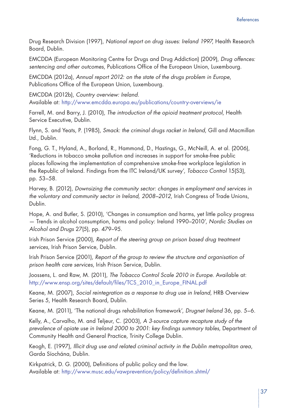Drug Research Division (1997), *National report on drug issues: Ireland 1997*, Health Research Board, Dublin.

EMCDDA (European Monitoring Centre for Drugs and Drug Addiction) (2009), *Drug offences: sentencing and other outcomes*, Publications Office of the European Union, Luxembourg.

EMCDDA (2012a), *Annual report 2012: on the state of the drugs problem in Europe*, Publications Office of the European Union, Luxembourg.

EMCDDA (2012b), *Country overview: Ireland.*

Available at: http://www.emcdda.europa.eu/publications/country-overviews/ie

Farrell, M. and Barry, J. (2010), *The introduction of the opioid treatment protocol*, Health Service Executive, Dublin.

Flynn, S. and Yeats, P. (1985), *Smack: the criminal drugs racket in Ireland*, Gill and Macmillan Ltd., Dublin.

Fong, G. T., Hyland, A., Borland, R., Hammond, D., Hastings, G., McNeill, A. et al. (2006), 'Reductions in tobacco smoke pollution and increases in support for smoke-free public places following the implementation of comprehensive smoke-free workplace legislation in the Republic of Ireland. Findings from the ITC Ireland/UK survey', *Tobacco Control* 15(S3), pp. 53–58.

Harvey, B. (2012), *Downsizing the community sector: changes in employment and services in the voluntary and community sector in Ireland, 2008–2012*, Irish Congress of Trade Unions, Dublin.

Hope, A. and Butler, S. (2010), 'Changes in consumption and harms, yet little policy progress — Trends in alcohol consumption, harms and policy: Ireland 1990–2010', *Nordic Studies on Alcohol and Drugs* 27(5), pp. 479–95.

Irish Prison Service (2000), *Report of the steering group on prison based drug treatment services*, Irish Prison Service, Dublin.

Irish Prison Service (2001), *Report of the group to review the structure and organisation of prison health care services*, Irish Prison Service, Dublin.

Joossens, L. and Raw, M. (2011), *The Tobacco Control Scale 2010 in Europe*. Available at: [http://www.ensp.org/sites/default/files/TCS\\_2010\\_in\\_Europe\\_FINAL.pdf](http://www.ensp.org/sites/default/files/TCS_2010_in_Europe_FINAL.pdf)

Keane, M. (2007), *Social reintegration as a response to drug use in Ireland*, HRB Overview Series 5, Health Research Board, Dublin.

Keane, M. (2011), 'The national drugs rehabilitation framework', *Drugnet Ireland* 36, pp. 5–6.

Kelly, A., Carvalho, M. and Teljeur, C. (2003), *A 3-source capture recapture study of the prevalence of opiate use in Ireland 2000 to 2001: key findings summary tables,* Department of Community Health and General Practice, Trinity College Dublin.

Keogh, E. (1997), *Illicit drug use and related criminal activity in the Dublin metropolitan area*, Garda Síochána, Dublin.

Kirkpatrick, D. G. (2000), Definitions of public policy and the law. Available at: http://www.musc.edu/vawprevention/policy/definition.shtml/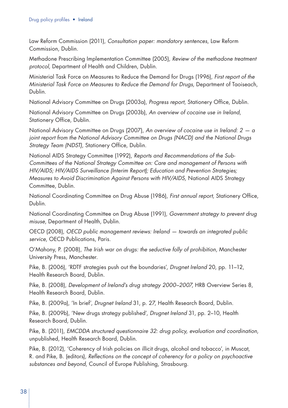Law Reform Commission (2011), *Consultation paper: mandatory sentences*, Law Reform Commission, Dublin.

Methadone Prescribing Implementation Committee (2005), *Review of the methadone treatment protocol*, Department of Health and Children, Dublin.

Ministerial Task Force on Measures to Reduce the Demand for Drugs (1996), *First report of the Ministerial Task Force on Measures to Reduce the Demand for Drugs, Department of Taoiseach,* Dublin.

National Advisory Committee on Drugs (2003a), *Progress report*, Stationery Office, Dublin.

National Advisory Committee on Drugs (2003b), *An overview of cocaine use in Ireland*, Stationery Office, Dublin.

National Advisory Committee on Drugs (2007), *An overview of cocaine use in Ireland: 2 — a joint report from the National Advisory Committee on Drugs (NACD) and the National Drugs Strategy Team (NDST)*, Stationery Office, Dublin.

National AIDS Strategy Committee (1992), *Reports and Recommendations of the Sub-Committees of the National Strategy Committee on: Care and management of Persons with HIV/AIDS; HIV/AIDS Surveillance (Interim Report); Education and Prevention Strategies; Measures to Avoid Discrimination Against Persons with HIV/AIDS, National AIDS Strategy* Committee, Dublin.

National Coordinating Committee on Drug Abuse (1986), *First annual report*, Stationery Office, Dublin.

National Coordinating Committee on Drug Abuse (1991), *Government strategy to prevent drug misuse*, Department of Health, Dublin.

OECD (2008), *OECD public management reviews: Ireland — towards an integrated public service*, OECD Publications, Paris.

O'Mahony, P. (2008), *The Irish war on drugs: the seductive folly of prohibition*, Manchester University Press, Manchester.

Pike, B. (2006), 'RDTF strategies push out the boundaries', *Drugnet Ireland* 20, pp. 11–12, Health Research Board, Dublin.

Pike, B. (2008), *Development of Ireland's drug strategy 2000–2007*, HRB Overview Series 8, Health Research Board, Dublin.

Pike, B. (2009a), 'In brief', *Drugnet Ireland* 31, p. 27, Health Research Board, Dublin.

Pike, B. (2009b), 'New drugs strategy published', *Drugnet Ireland* 31, pp. 2–10, Health Research Board, Dublin.

Pike, B. (2011), *EMCDDA structured questionnaire 32: drug policy, evaluation and coordination,*  unpublished, Health Research Board, Dublin.

Pike, B. (2012), 'Coherency of Irish policies on illicit drugs, alcohol and tobacco', in Muscat, R. and Pike, B. (editors), *Reflections on the concept of coherency for a policy on psychoactive substances and beyond*, Council of Europe Publishing, Strasbourg.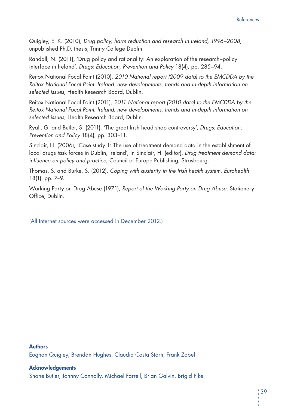Quigley, E. K. (2010), *Drug policy, harm reduction and research in Ireland, 1996–2008*, unpublished Ph.D. thesis, Trinity College Dublin.

Randall, N. (2011), 'Drug policy and rationality: An exploration of the research–policy interface in Ireland', *Drugs: Education, Prevention and Policy* 18(4), pp. 285*–*94.

Reitox National Focal Point (2010), *2010 National report (2009 data) to the EMCDDA by the Reitox National Focal Point. Ireland: new developments, trends and in-depth information on selected issues,* Health Research Board, Dublin.

Reitox National Focal Point (2011), *2011 National report (2010 data) to the EMCDDA by the Reitox National Focal Point. Ireland: new developments, trends and in-depth information on selected issues*, Health Research Board, Dublin.

Ryall, G. and Butler, S. (2011), 'The great Irish head shop controversy', *Drugs: Education, Prevention and Policy* 18(4), pp. 303–11.

Sinclair, H. (2006), 'Case study 1: The use of treatment demand data in the establishment of local drugs task forces in Dublin, Ireland', in Sinclair, H. (editor), *Drug treatment demand data: influence on policy and practice*, Council of Europe Publishing, Strasbourg.

Thomas, S. and Burke, S. (2012), *Coping with austerity in the Irish health system*, *Eurohealth* 18(1), pp. 7–9.

Working Party on Drug Abuse (1971), *Report of the Working Party on Drug Abuse*, Stationery Office, Dublin.

(All Internet sources were accessed in December 2012.)

Authors Eoghan Quigley, Brendan Hughes, Claudia Costa Storti, Frank Zobel

#### Acknowledgements Shane Butler, Johnny Connolly, Michael Farrell, Brian Galvin, Brigid Pike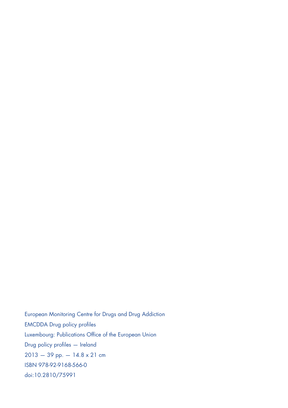European Monitoring Centre for Drugs and Drug Addiction EMCDDA Drug policy profiles Luxembourg: Publications Office of the European Union Drug policy profiles — Ireland  $2013 - 39$  pp.  $- 14.8 \times 21$  cm ISBN 978-92-9168-566-0 doi:10.2810/75991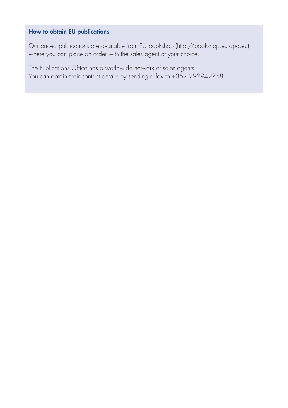#### How to obtain EU publications

Our priced publications are available from EU bookshop (http://bookshop.europa.eu), where you can place an order with the sales agent of your choice.

The Publications Office has a worldwide network of sales agents. You can obtain their contact details by sending a fax to +352 292942758